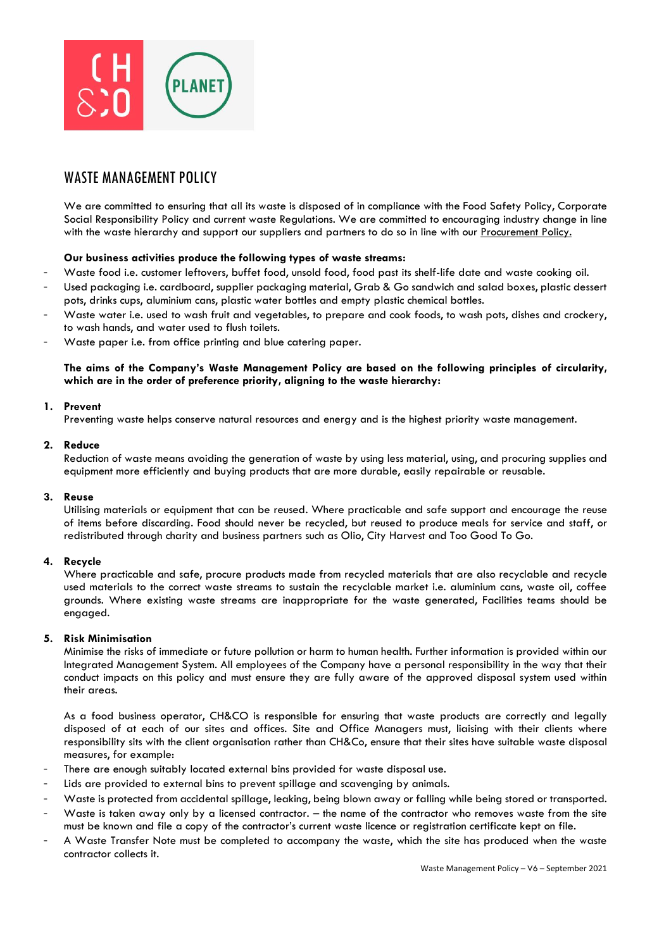

# WASTE MANAGEMENT POLICY

We are committed to ensuring that all its waste is disposed of in compliance with the Food Safety Policy, Corporate Social Responsibility Policy and current waste Regulations. We are committed to encouraging industry change in line with the waste hierarchy and support our suppliers and partners to do so in line with our Procurement Policy.

## **Our business activities produce the following types of waste streams:**

- Waste food i.e. customer leftovers, buffet food, unsold food, food past its shelf-life date and waste cooking oil.
- Used packaging i.e. cardboard, supplier packaging material, Grab & Go sandwich and salad boxes, plastic dessert pots, drinks cups, aluminium cans, plastic water bottles and empty plastic chemical bottles.
- Waste water i.e. used to wash fruit and vegetables, to prepare and cook foods, to wash pots, dishes and crockery, to wash hands, and water used to flush toilets.
- Waste paper i.e. from office printing and blue catering paper.

## **The aims of the Company's Waste Management Policy are based on the following principles of circularity, which are in the order of preference priority, aligning to the waste hierarchy:**

## **1. Prevent**

Preventing waste helps conserve natural resources and energy and is the highest priority waste management.

#### **2. Reduce**

Reduction of waste means avoiding the generation of waste by using less material, using, and procuring supplies and equipment more efficiently and buying products that are more durable, easily repairable or reusable.

## **3. Reuse**

Utilising materials or equipment that can be reused. Where practicable and safe support and encourage the reuse of items before discarding. Food should never be recycled, but reused to produce meals for service and staff, or redistributed through charity and business partners such as Olio, City Harvest and Too Good To Go.

## **4. Recycle**

Where practicable and safe, procure products made from recycled materials that are also recyclable and recycle used materials to the correct waste streams to sustain the recyclable market i.e. aluminium cans, waste oil, coffee grounds. Where existing waste streams are inappropriate for the waste generated, Facilities teams should be engaged.

## **5. Risk Minimisation**

Minimise the risks of immediate or future pollution or harm to human health. Further information is provided within our Integrated Management System. All employees of the Company have a personal responsibility in the way that their conduct impacts on this policy and must ensure they are fully aware of the approved disposal system used within their areas.

As a food business operator, CH&CO is responsible for ensuring that waste products are correctly and legally disposed of at each of our sites and offices. Site and Office Managers must, liaising with their clients where responsibility sits with the client organisation rather than CH&Co, ensure that their sites have suitable waste disposal measures, for example:

- There are enough suitably located external bins provided for waste disposal use.
- Lids are provided to external bins to prevent spillage and scavenging by animals.
- Waste is protected from accidental spillage, leaking, being blown away or falling while being stored or transported.
- Waste is taken away only by a licensed contractor. the name of the contractor who removes waste from the site must be known and file a copy of the contractor's current waste licence or registration certificate kept on file.
- A Waste Transfer Note must be completed to accompany the waste, which the site has produced when the waste contractor collects it.